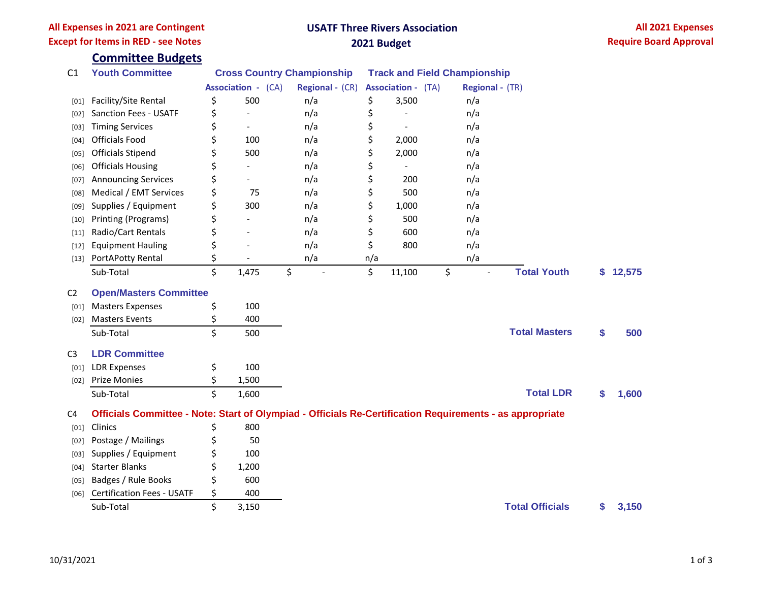## **All Expenses in 2021 are Contingent Except for Items in RED - see Notes**

# **USATF Three Rivers Association 2021 Budget**

|                | <b>Committee Budgets</b>                                                                                 |                                   |                          |                 |                           |                                     |                 |                        |    |          |  |  |
|----------------|----------------------------------------------------------------------------------------------------------|-----------------------------------|--------------------------|-----------------|---------------------------|-------------------------------------|-----------------|------------------------|----|----------|--|--|
| C1             | <b>Youth Committee</b>                                                                                   | <b>Cross Country Championship</b> |                          |                 |                           | <b>Track and Field Championship</b> |                 |                        |    |          |  |  |
|                |                                                                                                          | <b>Association - (CA)</b>         |                          | Regional - (CR) | <b>Association - (TA)</b> |                                     | Regional - (TR) |                        |    |          |  |  |
| [01]           | Facility/Site Rental                                                                                     | \$                                | 500                      | n/a             | \$                        | 3,500                               | n/a             |                        |    |          |  |  |
| [02]           | <b>Sanction Fees - USATF</b>                                                                             | \$                                |                          | n/a             | \$                        |                                     | n/a             |                        |    |          |  |  |
| [03]           | <b>Timing Services</b>                                                                                   | \$                                | $\overline{\phantom{a}}$ | n/a             | \$                        | $\overline{a}$                      | n/a             |                        |    |          |  |  |
| [04]           | <b>Officials Food</b>                                                                                    | \$                                | 100                      | n/a             | \$                        | 2,000                               | n/a             |                        |    |          |  |  |
| [05]           | <b>Officials Stipend</b>                                                                                 | \$                                | 500                      | n/a             | \$                        | 2,000                               | n/a             |                        |    |          |  |  |
| [06]           | <b>Officials Housing</b>                                                                                 | \$                                |                          | n/a             | \$                        |                                     | n/a             |                        |    |          |  |  |
| [07]           | <b>Announcing Services</b>                                                                               | \$                                |                          | n/a             | \$                        | 200                                 | n/a             |                        |    |          |  |  |
| [08]           | Medical / EMT Services                                                                                   | \$                                | 75                       | n/a             | \$                        | 500                                 | n/a             |                        |    |          |  |  |
| [09]           | Supplies / Equipment                                                                                     | \$                                | 300                      | n/a             | \$                        | 1,000                               | n/a             |                        |    |          |  |  |
| $[10]$         | Printing (Programs)                                                                                      | \$                                |                          | n/a             | \$                        | 500                                 | n/a             |                        |    |          |  |  |
| $[11]$         | Radio/Cart Rentals                                                                                       | \$                                |                          | n/a             | \$                        | 600                                 | n/a             |                        |    |          |  |  |
| $[12]$         | <b>Equipment Hauling</b>                                                                                 | \$                                |                          | n/a             | \$                        | 800                                 | n/a             |                        |    |          |  |  |
| $[13]$         | PortAPotty Rental                                                                                        | \$                                |                          | n/a             | n/a                       |                                     | n/a             |                        |    |          |  |  |
|                | Sub-Total                                                                                                | \$                                | 1,475                    | \$              | \$                        | 11,100                              | \$              | <b>Total Youth</b>     |    | \$12,575 |  |  |
| C <sub>2</sub> | <b>Open/Masters Committee</b>                                                                            |                                   |                          |                 |                           |                                     |                 |                        |    |          |  |  |
| [01]           | <b>Masters Expenses</b>                                                                                  | \$                                | 100                      |                 |                           |                                     |                 |                        |    |          |  |  |
| [02]           | <b>Masters Events</b>                                                                                    | \$                                | 400                      |                 |                           |                                     |                 |                        |    |          |  |  |
|                | Sub-Total                                                                                                | \$                                | 500                      |                 |                           |                                     |                 | <b>Total Masters</b>   | \$ | 500      |  |  |
| C <sub>3</sub> | <b>LDR Committee</b>                                                                                     |                                   |                          |                 |                           |                                     |                 |                        |    |          |  |  |
| [01]           | <b>LDR Expenses</b>                                                                                      | \$                                | 100                      |                 |                           |                                     |                 |                        |    |          |  |  |
| [02]           | <b>Prize Monies</b>                                                                                      | \$                                | 1,500                    |                 |                           |                                     |                 |                        |    |          |  |  |
|                | Sub-Total                                                                                                | \$                                | 1,600                    |                 |                           |                                     |                 | <b>Total LDR</b>       | S  | 1,600    |  |  |
| C <sub>4</sub> | Officials Committee - Note: Start of Olympiad - Officials Re-Certification Requirements - as appropriate |                                   |                          |                 |                           |                                     |                 |                        |    |          |  |  |
| $[01]$         | Clinics                                                                                                  | \$                                | 800                      |                 |                           |                                     |                 |                        |    |          |  |  |
| [02]           | Postage / Mailings                                                                                       | \$                                | 50                       |                 |                           |                                     |                 |                        |    |          |  |  |
| [03]           | Supplies / Equipment                                                                                     | \$                                | 100                      |                 |                           |                                     |                 |                        |    |          |  |  |
| [04]           | <b>Starter Blanks</b>                                                                                    | \$                                | 1,200                    |                 |                           |                                     |                 |                        |    |          |  |  |
| [05]           | Badges / Rule Books                                                                                      | \$                                | 600                      |                 |                           |                                     |                 |                        |    |          |  |  |
| [06]           | <b>Certification Fees - USATF</b>                                                                        | \$                                | 400                      |                 |                           |                                     |                 |                        |    |          |  |  |
|                | Sub-Total                                                                                                | \$                                | 3,150                    |                 |                           |                                     |                 | <b>Total Officials</b> | \$ | 3,150    |  |  |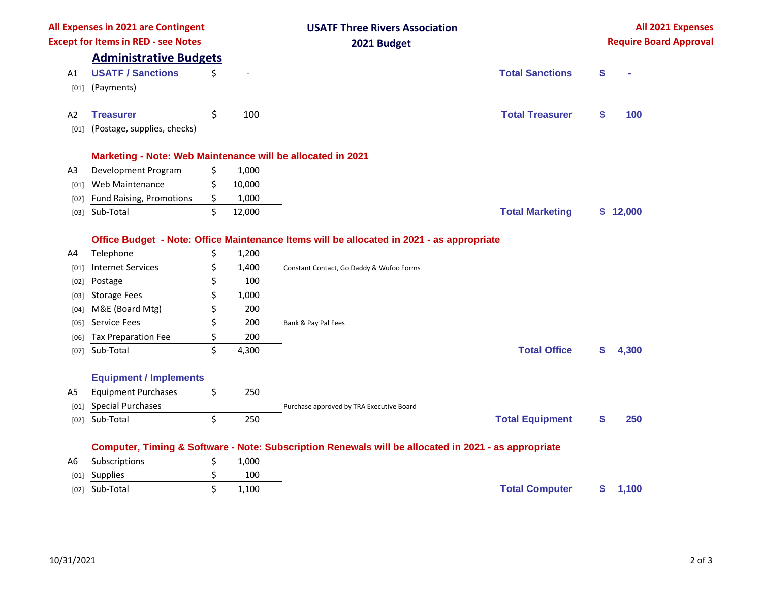| All Expenses in 2021 are Contingent<br><b>Except for Items in RED - see Notes</b> |                                                             |    |        | <b>USATF Three Rivers Association</b><br>2021 Budget                                                 |    | All 2021 Expenses<br><b>Require Board Approval</b> |  |  |
|-----------------------------------------------------------------------------------|-------------------------------------------------------------|----|--------|------------------------------------------------------------------------------------------------------|----|----------------------------------------------------|--|--|
|                                                                                   | <b>Administrative Budgets</b>                               |    |        |                                                                                                      |    |                                                    |  |  |
| A1                                                                                | <b>USATF / Sanctions</b>                                    | \$ |        | <b>Total Sanctions</b>                                                                               | \$ |                                                    |  |  |
| [01]                                                                              | (Payments)                                                  |    |        |                                                                                                      |    |                                                    |  |  |
| A2                                                                                | <b>Treasurer</b>                                            | \$ | 100    | <b>Total Treasurer</b>                                                                               | \$ | 100                                                |  |  |
| [01]                                                                              | (Postage, supplies, checks)                                 |    |        |                                                                                                      |    |                                                    |  |  |
|                                                                                   | Marketing - Note: Web Maintenance will be allocated in 2021 |    |        |                                                                                                      |    |                                                    |  |  |
| A <sub>3</sub>                                                                    | Development Program                                         | \$ | 1,000  |                                                                                                      |    |                                                    |  |  |
| [01]                                                                              | Web Maintenance                                             | \$ | 10,000 |                                                                                                      |    |                                                    |  |  |
| [02]                                                                              | Fund Raising, Promotions                                    | \$ | 1,000  |                                                                                                      |    |                                                    |  |  |
| [03]                                                                              | Sub-Total                                                   | \$ | 12,000 | <b>Total Marketing</b>                                                                               |    | \$12,000                                           |  |  |
|                                                                                   |                                                             |    |        | Office Budget - Note: Office Maintenance Items will be allocated in 2021 - as appropriate            |    |                                                    |  |  |
| A4                                                                                | Telephone                                                   | \$ | 1,200  |                                                                                                      |    |                                                    |  |  |
| [01]                                                                              | <b>Internet Services</b>                                    | \$ | 1,400  | Constant Contact, Go Daddy & Wufoo Forms                                                             |    |                                                    |  |  |
| $[02]$                                                                            | Postage                                                     | \$ | 100    |                                                                                                      |    |                                                    |  |  |
| [03]                                                                              | <b>Storage Fees</b>                                         | Ś  | 1,000  |                                                                                                      |    |                                                    |  |  |
| [04]                                                                              | M&E (Board Mtg)                                             | \$ | 200    |                                                                                                      |    |                                                    |  |  |
| [05]                                                                              | Service Fees                                                | \$ | 200    | Bank & Pay Pal Fees                                                                                  |    |                                                    |  |  |
| [06]                                                                              | <b>Tax Preparation Fee</b>                                  | \$ | 200    |                                                                                                      |    |                                                    |  |  |
| [07]                                                                              | Sub-Total                                                   | \$ | 4,300  | <b>Total Office</b>                                                                                  | S  | 4,300                                              |  |  |
|                                                                                   | <b>Equipment / Implements</b>                               |    |        |                                                                                                      |    |                                                    |  |  |
| A5                                                                                | <b>Equipment Purchases</b>                                  | \$ | 250    |                                                                                                      |    |                                                    |  |  |
| [01]                                                                              | <b>Special Purchases</b>                                    |    |        | Purchase approved by TRA Executive Board                                                             |    |                                                    |  |  |
| [02]                                                                              | Sub-Total                                                   | \$ | 250    | <b>Total Equipment</b>                                                                               | \$ | 250                                                |  |  |
|                                                                                   |                                                             |    |        | Computer, Timing & Software - Note: Subscription Renewals will be allocated in 2021 - as appropriate |    |                                                    |  |  |
| A6                                                                                | Subscriptions                                               | \$ | 1,000  |                                                                                                      |    |                                                    |  |  |
| [01]                                                                              | Supplies                                                    | \$ | 100    |                                                                                                      |    |                                                    |  |  |
| [02]                                                                              | Sub-Total                                                   | \$ | 1,100  | <b>Total Computer</b>                                                                                | \$ | 1,100                                              |  |  |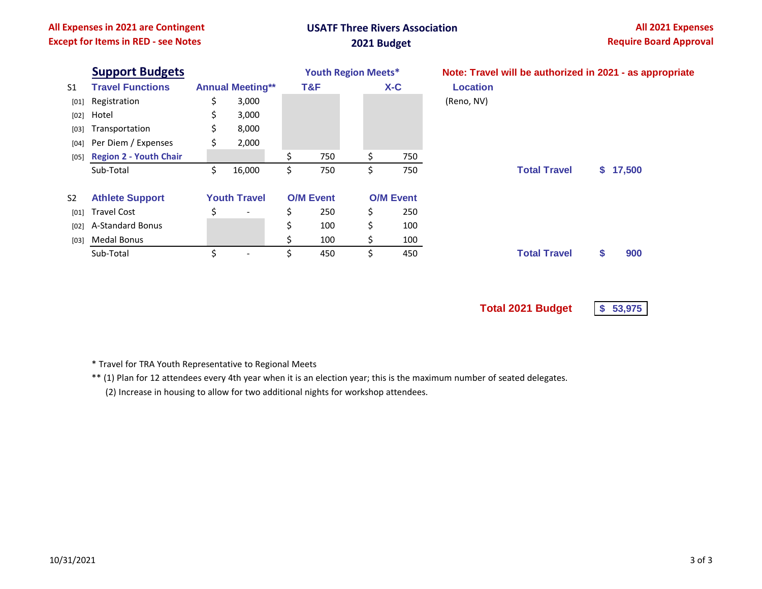### **All Expenses in 2021 are Contingent Except for Items in RED - see Notes**

# **USATF Three Rivers Association 2021 Budget**

|                | <b>Support Budgets</b>      |                     | <b>Youth Region Meets*</b> |                  |     | Note: Travel will be authorized in 2021 - as appropriate |                  |                 |                     |    |          |  |
|----------------|-----------------------------|---------------------|----------------------------|------------------|-----|----------------------------------------------------------|------------------|-----------------|---------------------|----|----------|--|
| S <sub>1</sub> | <b>Travel Functions</b>     |                     | <b>Annual Meeting**</b>    |                  | T&F |                                                          | $X-C$            | <b>Location</b> |                     |    |          |  |
| [01]           | Registration                | \$                  | 3,000                      |                  |     |                                                          |                  | (Reno, NV)      |                     |    |          |  |
| [02]           | Hotel                       | \$                  | 3,000                      |                  |     |                                                          |                  |                 |                     |    |          |  |
| [03]           | Transportation              | \$                  | 8,000                      |                  |     |                                                          |                  |                 |                     |    |          |  |
| [04]           | Per Diem / Expenses         | S                   | 2,000                      |                  |     |                                                          |                  |                 |                     |    |          |  |
|                | [05] Region 2 - Youth Chair |                     |                            | Ś                | 750 | \$.                                                      | 750              |                 |                     |    |          |  |
|                | Sub-Total                   | \$                  | 16,000                     | \$               | 750 | \$                                                       | 750              |                 | <b>Total Travel</b> |    | \$17,500 |  |
| S <sub>2</sub> | <b>Athlete Support</b>      | <b>Youth Travel</b> |                            | <b>O/M Event</b> |     |                                                          | <b>O/M Event</b> |                 |                     |    |          |  |
| [01]           | <b>Travel Cost</b>          | Ś                   | $\overline{\phantom{a}}$   | \$               | 250 | \$                                                       | 250              |                 |                     |    |          |  |
| [02]           | A-Standard Bonus            |                     |                            | \$               | 100 | \$                                                       | 100              |                 |                     |    |          |  |
| [03]           | Medal Bonus                 |                     |                            | \$               | 100 | \$                                                       | 100              |                 |                     |    |          |  |
|                | Sub-Total                   | \$                  | $\overline{\phantom{a}}$   | \$               | 450 | \$                                                       | 450              |                 | <b>Total Travel</b> | \$ | 900      |  |
|                |                             |                     |                            |                  |     |                                                          |                  |                 |                     |    |          |  |

**Total 2021 Budget \$ 53,975**

- \* Travel for TRA Youth Representative to Regional Meets
- \*\* (1) Plan for 12 attendees every 4th year when it is an election year; this is the maximum number of seated delegates.

(2) Increase in housing to allow for two additional nights for workshop attendees.